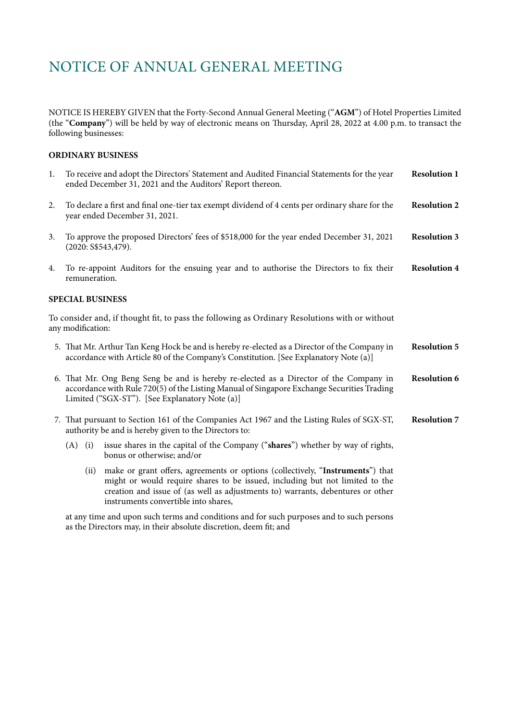NOTICE IS HEREBY GIVEN that the Forty-Second Annual General Meeting ("**AGM**") of Hotel Properties Limited (the "**Company**") will be held by way of electronic means on Thursday, April 28, 2022 at 4.00 p.m. to transact the following businesses:

### **ORDINARY BUSINESS**

| 1.                      | To receive and adopt the Directors' Statement and Audited Financial Statements for the year<br>ended December 31, 2021 and the Auditors' Report thereon.                                                                                                                                          | <b>Resolution 1</b> |
|-------------------------|---------------------------------------------------------------------------------------------------------------------------------------------------------------------------------------------------------------------------------------------------------------------------------------------------|---------------------|
| 2.                      | To declare a first and final one-tier tax exempt dividend of 4 cents per ordinary share for the<br>year ended December 31, 2021.                                                                                                                                                                  | <b>Resolution 2</b> |
| 3.                      | To approve the proposed Directors' fees of \$518,000 for the year ended December 31, 2021<br>(2020: S\$543,479).                                                                                                                                                                                  | <b>Resolution 3</b> |
| 4.                      | To re-appoint Auditors for the ensuing year and to authorise the Directors to fix their<br>remuneration.                                                                                                                                                                                          | <b>Resolution 4</b> |
| <b>SPECIAL BUSINESS</b> |                                                                                                                                                                                                                                                                                                   |                     |
|                         | To consider and, if thought fit, to pass the following as Ordinary Resolutions with or without<br>any modification:                                                                                                                                                                               |                     |
|                         | 5. That Mr. Arthur Tan Keng Hock be and is hereby re-elected as a Director of the Company in<br>accordance with Article 80 of the Company's Constitution. [See Explanatory Note (a)]                                                                                                              | <b>Resolution 5</b> |
|                         | 6. That Mr. Ong Beng Seng be and is hereby re-elected as a Director of the Company in<br>accordance with Rule 720(5) of the Listing Manual of Singapore Exchange Securities Trading<br>Limited ("SGX-ST"). [See Explanatory Note (a)]                                                             | <b>Resolution 6</b> |
|                         | 7. That pursuant to Section 161 of the Companies Act 1967 and the Listing Rules of SGX-ST,<br>authority be and is hereby given to the Directors to:                                                                                                                                               | <b>Resolution 7</b> |
|                         | issue shares in the capital of the Company ("shares") whether by way of rights,<br>$(A)$ (i)<br>bonus or otherwise; and/or                                                                                                                                                                        |                     |
|                         | make or grant offers, agreements or options (collectively, "Instruments") that<br>(ii)<br>might or would require shares to be issued, including but not limited to the<br>creation and issue of (as well as adjustments to) warrants, debentures or other<br>instruments convertible into shares, |                     |
|                         | at any time and upon such terms and conditions and for such purposes and to such persons<br>as the Directors may, in their absolute discretion, deem fit; and                                                                                                                                     |                     |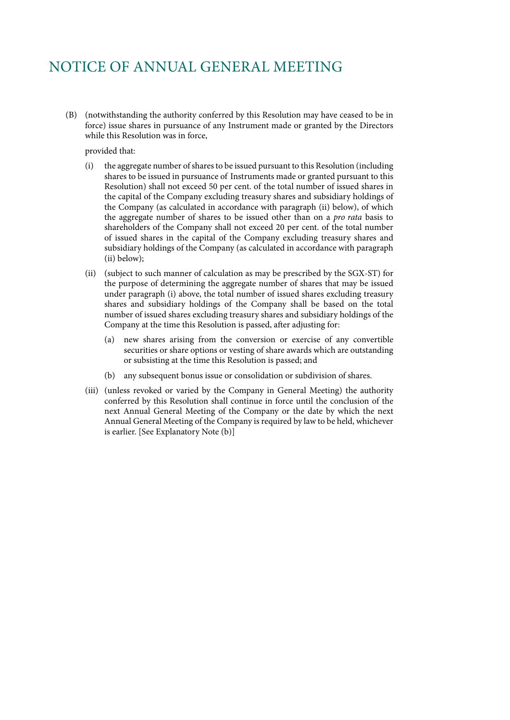(B) (notwithstanding the authority conferred by this Resolution may have ceased to be in force) issue shares in pursuance of any Instrument made or granted by the Directors while this Resolution was in force,

provided that:

- (i) the aggregate number of shares to be issued pursuant to this Resolution (including shares to be issued in pursuance of Instruments made or granted pursuant to this Resolution) shall not exceed 50 per cent. of the total number of issued shares in the capital of the Company excluding treasury shares and subsidiary holdings of the Company (as calculated in accordance with paragraph (ii) below), of which the aggregate number of shares to be issued other than on a *pro rata* basis to shareholders of the Company shall not exceed 20 per cent. of the total number of issued shares in the capital of the Company excluding treasury shares and subsidiary holdings of the Company (as calculated in accordance with paragraph (ii) below);
- (ii) (subject to such manner of calculation as may be prescribed by the SGX-ST) for the purpose of determining the aggregate number of shares that may be issued under paragraph (i) above, the total number of issued shares excluding treasury shares and subsidiary holdings of the Company shall be based on the total number of issued shares excluding treasury shares and subsidiary holdings of the Company at the time this Resolution is passed, after adjusting for:
	- (a) new shares arising from the conversion or exercise of any convertible securities or share options or vesting of share awards which are outstanding or subsisting at the time this Resolution is passed; and
	- (b) any subsequent bonus issue or consolidation or subdivision of shares.
- (iii) (unless revoked or varied by the Company in General Meeting) the authority conferred by this Resolution shall continue in force until the conclusion of the next Annual General Meeting of the Company or the date by which the next Annual General Meeting of the Company is required by law to be held, whichever is earlier. [See Explanatory Note (b)]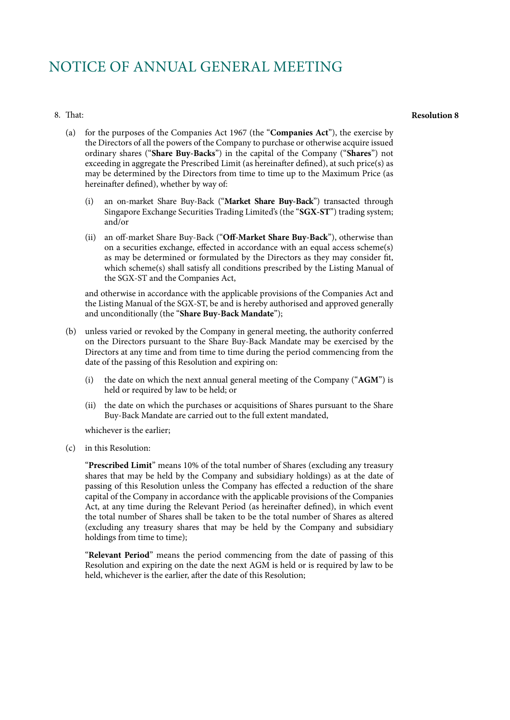#### 8. That:

#### **Resolution 8**

- (a) for the purposes of the Companies Act 1967 (the "**Companies Act**"), the exercise by the Directors of all the powers of the Company to purchase or otherwise acquire issued ordinary shares ("**Share Buy-Backs**") in the capital of the Company ("**Shares**") not exceeding in aggregate the Prescribed Limit (as hereinafter defined), at such price(s) as may be determined by the Directors from time to time up to the Maximum Price (as hereinafter defined), whether by way of:
	- (i) an on-market Share Buy-Back ("**Market Share Buy-Back**") transacted through Singapore Exchange Securities Trading Limited's (the "**SGX-ST**") trading system; and/or
	- (ii) an off-market Share Buy-Back ("**Off-Market Share Buy-Back**"), otherwise than on a securities exchange, effected in accordance with an equal access scheme(s) as may be determined or formulated by the Directors as they may consider fit, which scheme(s) shall satisfy all conditions prescribed by the Listing Manual of the SGX-ST and the Companies Act,

and otherwise in accordance with the applicable provisions of the Companies Act and the Listing Manual of the SGX-ST, be and is hereby authorised and approved generally and unconditionally (the "**Share Buy-Back Mandate**");

- (b) unless varied or revoked by the Company in general meeting, the authority conferred on the Directors pursuant to the Share Buy-Back Mandate may be exercised by the Directors at any time and from time to time during the period commencing from the date of the passing of this Resolution and expiring on:
	- (i) the date on which the next annual general meeting of the Company ("**AGM**") is held or required by law to be held; or
	- (ii) the date on which the purchases or acquisitions of Shares pursuant to the Share Buy-Back Mandate are carried out to the full extent mandated,

whichever is the earlier;

(c) in this Resolution:

"**Prescribed Limit**" means 10% of the total number of Shares (excluding any treasury shares that may be held by the Company and subsidiary holdings) as at the date of passing of this Resolution unless the Company has effected a reduction of the share capital of the Company in accordance with the applicable provisions of the Companies Act, at any time during the Relevant Period (as hereinafter defined), in which event the total number of Shares shall be taken to be the total number of Shares as altered (excluding any treasury shares that may be held by the Company and subsidiary holdings from time to time);

"**Relevant Period**" means the period commencing from the date of passing of this Resolution and expiring on the date the next AGM is held or is required by law to be held, whichever is the earlier, after the date of this Resolution;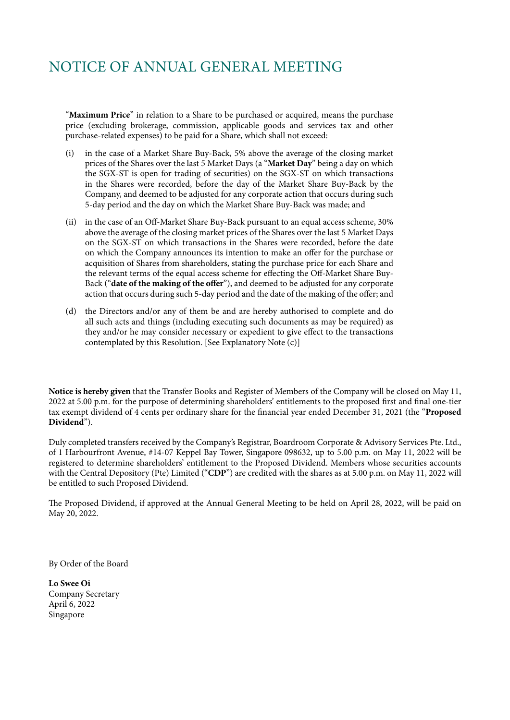"**Maximum Price**" in relation to a Share to be purchased or acquired, means the purchase price (excluding brokerage, commission, applicable goods and services tax and other purchase-related expenses) to be paid for a Share, which shall not exceed:

- in the case of a Market Share Buy-Back, 5% above the average of the closing market prices of the Shares over the last 5 Market Days (a "**Market Day**" being a day on which the SGX-ST is open for trading of securities) on the SGX-ST on which transactions in the Shares were recorded, before the day of the Market Share Buy-Back by the Company, and deemed to be adjusted for any corporate action that occurs during such 5-day period and the day on which the Market Share Buy-Back was made; and
- (ii) in the case of an Off-Market Share Buy-Back pursuant to an equal access scheme, 30% above the average of the closing market prices of the Shares over the last 5 Market Days on the SGX-ST on which transactions in the Shares were recorded, before the date on which the Company announces its intention to make an offer for the purchase or acquisition of Shares from shareholders, stating the purchase price for each Share and the relevant terms of the equal access scheme for effecting the Off-Market Share Buy-Back ("**date of the making of the offer**"), and deemed to be adjusted for any corporate action that occurs during such 5-day period and the date of the making of the offer; and
- (d) the Directors and/or any of them be and are hereby authorised to complete and do all such acts and things (including executing such documents as may be required) as they and/or he may consider necessary or expedient to give effect to the transactions contemplated by this Resolution. [See Explanatory Note (c)]

**Notice is hereby given** that the Transfer Books and Register of Members of the Company will be closed on May 11, 2022 at 5.00 p.m. for the purpose of determining shareholders' entitlements to the proposed first and final one-tier tax exempt dividend of 4 cents per ordinary share for the financial year ended December 31, 2021 (the "**Proposed Dividend**").

Duly completed transfers received by the Company's Registrar, Boardroom Corporate & Advisory Services Pte. Ltd., of 1 Harbourfront Avenue, #14-07 Keppel Bay Tower, Singapore 098632, up to 5.00 p.m. on May 11, 2022 will be registered to determine shareholders' entitlement to the Proposed Dividend. Members whose securities accounts with the Central Depository (Pte) Limited ("**CDP**") are credited with the shares as at 5.00 p.m. on May 11, 2022 will be entitled to such Proposed Dividend.

The Proposed Dividend, if approved at the Annual General Meeting to be held on April 28, 2022, will be paid on May 20, 2022.

By Order of the Board

**Lo Swee Oi** Company Secretary April 6, 2022 Singapore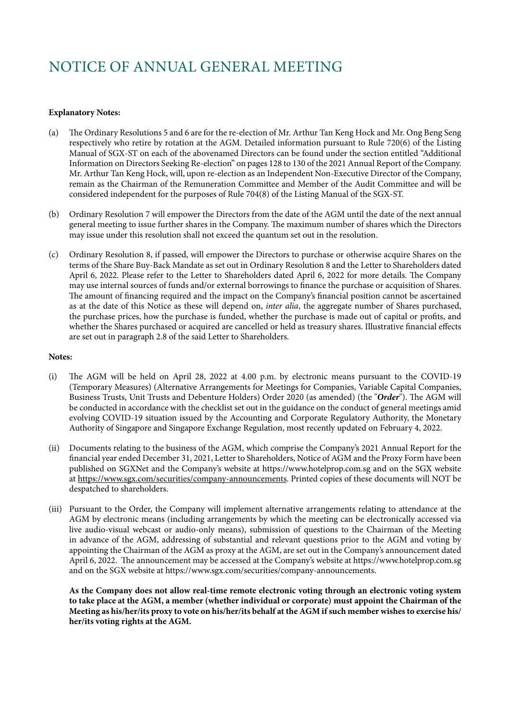### **Explanatory Notes:**

- (a) The Ordinary Resolutions 5 and 6 are for the re-election of Mr. Arthur Tan Keng Hock and Mr. Ong Beng Seng respectively who retire by rotation at the AGM. Detailed information pursuant to Rule 720(6) of the Listing Manual of SGX-ST on each of the abovenamed Directors can be found under the section entitled "Additional Information on Directors Seeking Re-election" on pages 128 to 130 of the 2021 Annual Report of the Company. Mr. Arthur Tan Keng Hock, will, upon re-election as an Independent Non-Executive Director of the Company, remain as the Chairman of the Remuneration Committee and Member of the Audit Committee and will be considered independent for the purposes of Rule 704(8) of the Listing Manual of the SGX-ST.
- (b) Ordinary Resolution 7 will empower the Directors from the date of the AGM until the date of the next annual general meeting to issue further shares in the Company. The maximum number of shares which the Directors may issue under this resolution shall not exceed the quantum set out in the resolution.
- (c) Ordinary Resolution 8, if passed, will empower the Directors to purchase or otherwise acquire Shares on the terms of the Share Buy-Back Mandate as set out in Ordinary Resolution 8 and the Letter to Shareholders dated April 6, 2022. Please refer to the Letter to Shareholders dated April 6, 2022 for more details. The Company may use internal sources of funds and/or external borrowings to finance the purchase or acquisition of Shares. The amount of financing required and the impact on the Company's financial position cannot be ascertained as at the date of this Notice as these will depend on, *inter alia*, the aggregate number of Shares purchased, the purchase prices, how the purchase is funded, whether the purchase is made out of capital or profits, and whether the Shares purchased or acquired are cancelled or held as treasury shares. Illustrative financial effects are set out in paragraph 2.8 of the said Letter to Shareholders.

### **Notes:**

- (i) The AGM will be held on April 28, 2022 at 4.00 p.m. by electronic means pursuant to the COVID-19 (Temporary Measures) (Alternative Arrangements for Meetings for Companies, Variable Capital Companies, Business Trusts, Unit Trusts and Debenture Holders) Order 2020 (as amended) (the "*Order*"). The AGM will be conducted in accordance with the checklist set out in the guidance on the conduct of general meetings amid evolving COVID-19 situation issued by the Accounting and Corporate Regulatory Authority, the Monetary Authority of Singapore and Singapore Exchange Regulation, most recently updated on February 4, 2022.
- (ii) Documents relating to the business of the AGM, which comprise the Company's 2021 Annual Report for the financial year ended December 31, 2021, Letter to Shareholders, Notice of AGM and the Proxy Form have been published on SGXNet and the Company's website at https://www.hotelprop.com.sg and on the SGX website at https://www.sgx.com/securities/company-announcements. Printed copies of these documents will NOT be despatched to shareholders.
- (iii) Pursuant to the Order, the Company will implement alternative arrangements relating to attendance at the AGM by electronic means (including arrangements by which the meeting can be electronically accessed via live audio-visual webcast or audio-only means), submission of questions to the Chairman of the Meeting in advance of the AGM, addressing of substantial and relevant questions prior to the AGM and voting by appointing the Chairman of the AGM as proxy at the AGM, are set out in the Company's announcement dated April 6, 2022. The announcement may be accessed at the Company's website at https://www.hotelprop.com.sg and on the SGX website at https://www.sgx.com/securities/company-announcements.

**As the Company does not allow real-time remote electronic voting through an electronic voting system to take place at the AGM, a member (whether individual or corporate) must appoint the Chairman of the Meeting as his/her/its proxy to vote on his/her/its behalf at the AGM if such member wishes to exercise his/ her/its voting rights at the AGM.**